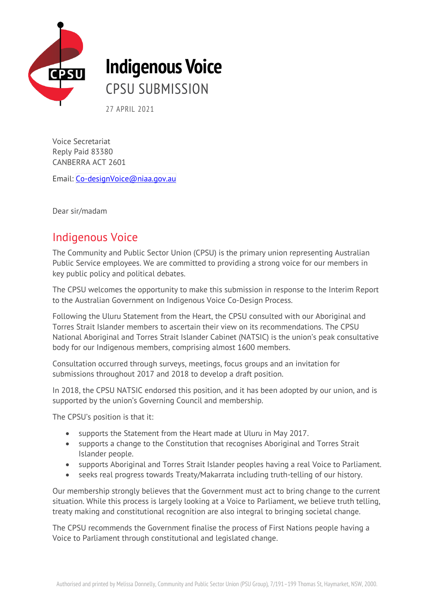

## **Indigenous Voice**

CPSU SUBMISSION

27 APRIL 2021

Voice Secretariat Reply Paid 83380 CANBERRA ACT 2601

Email: [Co-designVoice@niaa.gov.au](mailto:Co-designVoice@niaa.gov.au)

Dear sir/madam

## Indigenous Voice

The Community and Public Sector Union (CPSU) is the primary union representing Australian Public Service employees. We are committed to providing a strong voice for our members in key public policy and political debates.

The CPSU welcomes the opportunity to make this submission in response to the Interim Report to the Australian Government on Indigenous Voice Co-Design Process.

Following the Uluru Statement from the Heart, the CPSU consulted with our Aboriginal and Torres Strait Islander members to ascertain their view on its recommendations. The CPSU National Aboriginal and Torres Strait Islander Cabinet (NATSIC) is the union's peak consultative body for our Indigenous members, comprising almost 1600 members.

Consultation occurred through surveys, meetings, focus groups and an invitation for submissions throughout 2017 and 2018 to develop a draft position.

In 2018, the CPSU NATSIC endorsed this position, and it has been adopted by our union, and is supported by the union's Governing Council and membership.

The CPSU's position is that it:

- supports the Statement from the Heart made at Uluru in May 2017.
- supports a change to the Constitution that recognises Aboriginal and Torres Strait Islander people.
- supports Aboriginal and Torres Strait Islander peoples having a real Voice to Parliament.
- seeks real progress towards Treaty/Makarrata including truth-telling of our history.

Our membership strongly believes that the Government must act to bring change to the current situation. While this process is largely looking at a Voice to Parliament, we believe truth telling, treaty making and constitutional recognition are also integral to bringing societal change.

The CPSU recommends the Government finalise the process of First Nations people having a Voice to Parliament through constitutional and legislated change.